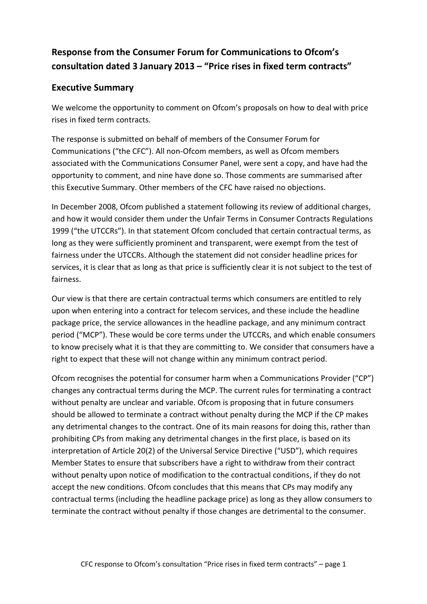# **Response from the Consumer Forum for Communications to Ofcom's consultation dated 3 January 2013 – "Price rises in fixed term contracts"**

## **Executive Summary**

We welcome the opportunity to comment on Ofcom's proposals on how to deal with price rises in fixed term contracts.

The response is submitted on behalf of members of the Consumer Forum for Communications ("the CFC"). All non-Ofcom members, as well as Ofcom members associated with the Communications Consumer Panel, were sent a copy, and have had the opportunity to comment, and nine have done so. Those comments are summarised after this Executive Summary. Other members of the CFC have raised no objections.

In December 2008, Ofcom published a statement following its review of additional charges, and how it would consider them under the Unfair Terms in Consumer Contracts Regulations 1999 ("the UTCCRs"). In that statement Ofcom concluded that certain contractual terms, as long as they were sufficiently prominent and transparent, were exempt from the test of fairness under the UTCCRs. Although the statement did not consider headline prices for services, it is clear that as long as that price is sufficiently clear it is not subject to the test of fairness.

Our view is that there are certain contractual terms which consumers are entitled to rely upon when entering into a contract for telecom services, and these include the headline package price, the service allowances in the headline package, and any minimum contract period ("MCP"). These would be core terms under the UTCCRs, and which enable consumers to know precisely what it is that they are committing to. We consider that consumers have a right to expect that these will not change within any minimum contract period.

Ofcom recognises the potential for consumer harm when a Communications Provider ("CP") changes any contractual terms during the MCP. The current rules for terminating a contract without penalty are unclear and variable. Ofcom is proposing that in future consumers should be allowed to terminate a contract without penalty during the MCP if the CP makes any detrimental changes to the contract. One of its main reasons for doing this, rather than prohibiting CPs from making any detrimental changes in the first place, is based on its interpretation of Article 20(2) of the Universal Service Directive ("USD"), which requires Member States to ensure that subscribers have a right to withdraw from their contract without penalty upon notice of modification to the contractual conditions, if they do not accept the new conditions. Ofcom concludes that this means that CPs may modify any contractual terms (including the headline package price) as long as they allow consumers to terminate the contract without penalty if those changes are detrimental to the consumer.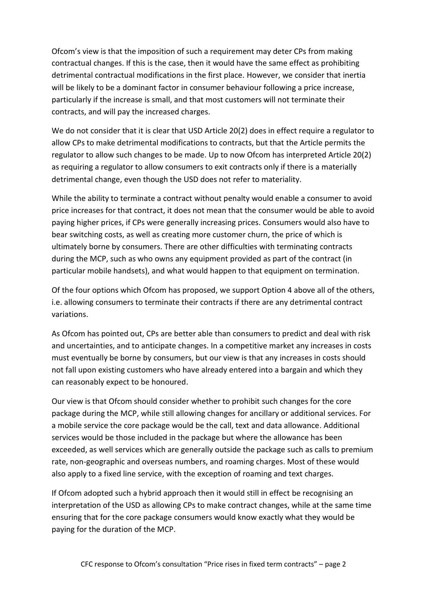Ofcom's view is that the imposition of such a requirement may deter CPs from making contractual changes. If this is the case, then it would have the same effect as prohibiting detrimental contractual modifications in the first place. However, we consider that inertia will be likely to be a dominant factor in consumer behaviour following a price increase, particularly if the increase is small, and that most customers will not terminate their contracts, and will pay the increased charges.

We do not consider that it is clear that USD Article 20(2) does in effect require a regulator to allow CPs to make detrimental modifications to contracts, but that the Article permits the regulator to allow such changes to be made. Up to now Ofcom has interpreted Article 20(2) as requiring a regulator to allow consumers to exit contracts only if there is a materially detrimental change, even though the USD does not refer to materiality.

While the ability to terminate a contract without penalty would enable a consumer to avoid price increases for that contract, it does not mean that the consumer would be able to avoid paying higher prices, if CPs were generally increasing prices. Consumers would also have to bear switching costs, as well as creating more customer churn, the price of which is ultimately borne by consumers. There are other difficulties with terminating contracts during the MCP, such as who owns any equipment provided as part of the contract (in particular mobile handsets), and what would happen to that equipment on termination.

Of the four options which Ofcom has proposed, we support Option 4 above all of the others, i.e. allowing consumers to terminate their contracts if there are any detrimental contract variations.

As Ofcom has pointed out, CPs are better able than consumers to predict and deal with risk and uncertainties, and to anticipate changes. In a competitive market any increases in costs must eventually be borne by consumers, but our view is that any increases in costs should not fall upon existing customers who have already entered into a bargain and which they can reasonably expect to be honoured.

Our view is that Ofcom should consider whether to prohibit such changes for the core package during the MCP, while still allowing changes for ancillary or additional services. For a mobile service the core package would be the call, text and data allowance. Additional services would be those included in the package but where the allowance has been exceeded, as well services which are generally outside the package such as calls to premium rate, non-geographic and overseas numbers, and roaming charges. Most of these would also apply to a fixed line service, with the exception of roaming and text charges.

If Ofcom adopted such a hybrid approach then it would still in effect be recognising an interpretation of the USD as allowing CPs to make contract changes, while at the same time ensuring that for the core package consumers would know exactly what they would be paying for the duration of the MCP.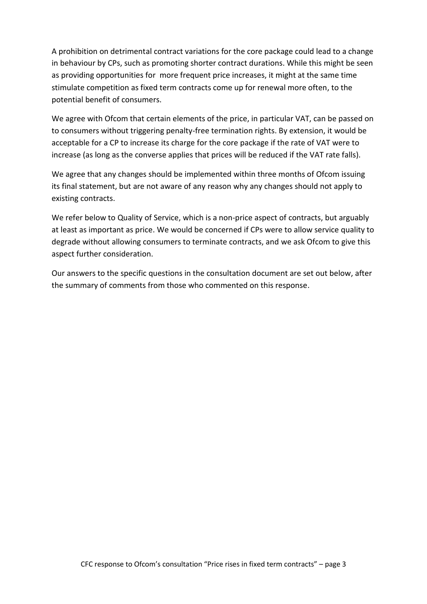A prohibition on detrimental contract variations for the core package could lead to a change in behaviour by CPs, such as promoting shorter contract durations. While this might be seen as providing opportunities for more frequent price increases, it might at the same time stimulate competition as fixed term contracts come up for renewal more often, to the potential benefit of consumers.

We agree with Ofcom that certain elements of the price, in particular VAT, can be passed on to consumers without triggering penalty-free termination rights. By extension, it would be acceptable for a CP to increase its charge for the core package if the rate of VAT were to increase (as long as the converse applies that prices will be reduced if the VAT rate falls).

We agree that any changes should be implemented within three months of Ofcom issuing its final statement, but are not aware of any reason why any changes should not apply to existing contracts.

We refer below to Quality of Service, which is a non-price aspect of contracts, but arguably at least as important as price. We would be concerned if CPs were to allow service quality to degrade without allowing consumers to terminate contracts, and we ask Ofcom to give this aspect further consideration.

Our answers to the specific questions in the consultation document are set out below, after the summary of comments from those who commented on this response.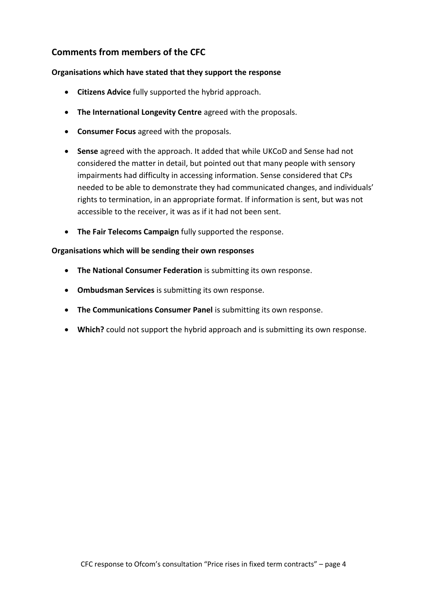## **Comments from members of the CFC**

#### **Organisations which have stated that they support the response**

- **Citizens Advice** fully supported the hybrid approach.
- **The International Longevity Centre** agreed with the proposals.
- **Consumer Focus** agreed with the proposals.
- **Sense** agreed with the approach. It added that while UKCoD and Sense had not considered the matter in detail, but pointed out that many people with sensory impairments had difficulty in accessing information. Sense considered that CPs needed to be able to demonstrate they had communicated changes, and individuals' rights to termination, in an appropriate format. If information is sent, but was not accessible to the receiver, it was as if it had not been sent.
- **The Fair Telecoms Campaign** fully supported the response.

#### **Organisations which will be sending their own responses**

- **The National Consumer Federation** is submitting its own response.
- **Ombudsman Services** is submitting its own response.
- **The Communications Consumer Panel** is submitting its own response.
- **Which?** could not support the hybrid approach and is submitting its own response.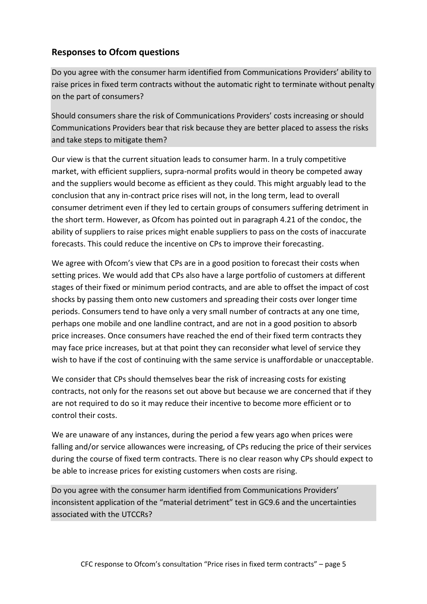## **Responses to Ofcom questions**

Do you agree with the consumer harm identified from Communications Providers' ability to raise prices in fixed term contracts without the automatic right to terminate without penalty on the part of consumers?

Should consumers share the risk of Communications Providers' costs increasing or should Communications Providers bear that risk because they are better placed to assess the risks and take steps to mitigate them?

Our view is that the current situation leads to consumer harm. In a truly competitive market, with efficient suppliers, supra-normal profits would in theory be competed away and the suppliers would become as efficient as they could. This might arguably lead to the conclusion that any in-contract price rises will not, in the long term, lead to overall consumer detriment even if they led to certain groups of consumers suffering detriment in the short term. However, as Ofcom has pointed out in paragraph 4.21 of the condoc, the ability of suppliers to raise prices might enable suppliers to pass on the costs of inaccurate forecasts. This could reduce the incentive on CPs to improve their forecasting.

We agree with Ofcom's view that CPs are in a good position to forecast their costs when setting prices. We would add that CPs also have a large portfolio of customers at different stages of their fixed or minimum period contracts, and are able to offset the impact of cost shocks by passing them onto new customers and spreading their costs over longer time periods. Consumers tend to have only a very small number of contracts at any one time, perhaps one mobile and one landline contract, and are not in a good position to absorb price increases. Once consumers have reached the end of their fixed term contracts they may face price increases, but at that point they can reconsider what level of service they wish to have if the cost of continuing with the same service is unaffordable or unacceptable.

We consider that CPs should themselves bear the risk of increasing costs for existing contracts, not only for the reasons set out above but because we are concerned that if they are not required to do so it may reduce their incentive to become more efficient or to control their costs.

We are unaware of any instances, during the period a few years ago when prices were falling and/or service allowances were increasing, of CPs reducing the price of their services during the course of fixed term contracts. There is no clear reason why CPs should expect to be able to increase prices for existing customers when costs are rising.

Do you agree with the consumer harm identified from Communications Providers' inconsistent application of the "material detriment" test in GC9.6 and the uncertainties associated with the UTCCRs?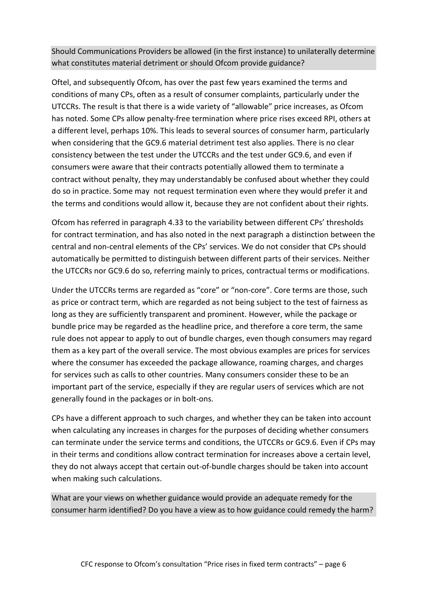Should Communications Providers be allowed (in the first instance) to unilaterally determine what constitutes material detriment or should Ofcom provide guidance?

Oftel, and subsequently Ofcom, has over the past few years examined the terms and conditions of many CPs, often as a result of consumer complaints, particularly under the UTCCRs. The result is that there is a wide variety of "allowable" price increases, as Ofcom has noted. Some CPs allow penalty-free termination where price rises exceed RPI, others at a different level, perhaps 10%. This leads to several sources of consumer harm, particularly when considering that the GC9.6 material detriment test also applies. There is no clear consistency between the test under the UTCCRs and the test under GC9.6, and even if consumers were aware that their contracts potentially allowed them to terminate a contract without penalty, they may understandably be confused about whether they could do so in practice. Some may not request termination even where they would prefer it and the terms and conditions would allow it, because they are not confident about their rights.

Ofcom has referred in paragraph 4.33 to the variability between different CPs' thresholds for contract termination, and has also noted in the next paragraph a distinction between the central and non-central elements of the CPs' services. We do not consider that CPs should automatically be permitted to distinguish between different parts of their services. Neither the UTCCRs nor GC9.6 do so, referring mainly to prices, contractual terms or modifications.

Under the UTCCRs terms are regarded as "core" or "non-core". Core terms are those, such as price or contract term, which are regarded as not being subject to the test of fairness as long as they are sufficiently transparent and prominent. However, while the package or bundle price may be regarded as the headline price, and therefore a core term, the same rule does not appear to apply to out of bundle charges, even though consumers may regard them as a key part of the overall service. The most obvious examples are prices for services where the consumer has exceeded the package allowance, roaming charges, and charges for services such as calls to other countries. Many consumers consider these to be an important part of the service, especially if they are regular users of services which are not generally found in the packages or in bolt-ons.

CPs have a different approach to such charges, and whether they can be taken into account when calculating any increases in charges for the purposes of deciding whether consumers can terminate under the service terms and conditions, the UTCCRs or GC9.6. Even if CPs may in their terms and conditions allow contract termination for increases above a certain level, they do not always accept that certain out-of-bundle charges should be taken into account when making such calculations.

What are your views on whether guidance would provide an adequate remedy for the consumer harm identified? Do you have a view as to how guidance could remedy the harm?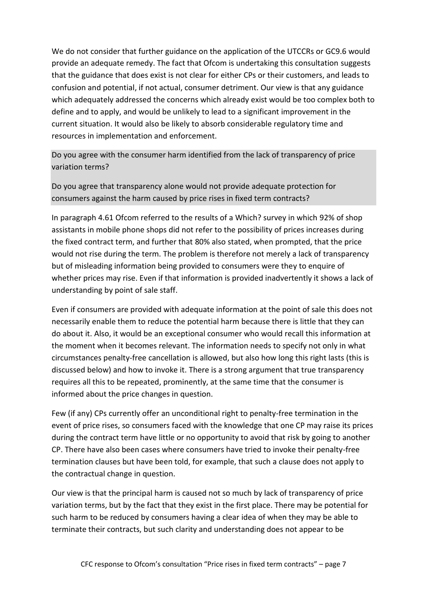We do not consider that further guidance on the application of the UTCCRs or GC9.6 would provide an adequate remedy. The fact that Ofcom is undertaking this consultation suggests that the guidance that does exist is not clear for either CPs or their customers, and leads to confusion and potential, if not actual, consumer detriment. Our view is that any guidance which adequately addressed the concerns which already exist would be too complex both to define and to apply, and would be unlikely to lead to a significant improvement in the current situation. It would also be likely to absorb considerable regulatory time and resources in implementation and enforcement.

Do you agree with the consumer harm identified from the lack of transparency of price variation terms?

Do you agree that transparency alone would not provide adequate protection for consumers against the harm caused by price rises in fixed term contracts?

In paragraph 4.61 Ofcom referred to the results of a Which? survey in which 92% of shop assistants in mobile phone shops did not refer to the possibility of prices increases during the fixed contract term, and further that 80% also stated, when prompted, that the price would not rise during the term. The problem is therefore not merely a lack of transparency but of misleading information being provided to consumers were they to enquire of whether prices may rise. Even if that information is provided inadvertently it shows a lack of understanding by point of sale staff.

Even if consumers are provided with adequate information at the point of sale this does not necessarily enable them to reduce the potential harm because there is little that they can do about it. Also, it would be an exceptional consumer who would recall this information at the moment when it becomes relevant. The information needs to specify not only in what circumstances penalty-free cancellation is allowed, but also how long this right lasts (this is discussed below) and how to invoke it. There is a strong argument that true transparency requires all this to be repeated, prominently, at the same time that the consumer is informed about the price changes in question.

Few (if any) CPs currently offer an unconditional right to penalty-free termination in the event of price rises, so consumers faced with the knowledge that one CP may raise its prices during the contract term have little or no opportunity to avoid that risk by going to another CP. There have also been cases where consumers have tried to invoke their penalty-free termination clauses but have been told, for example, that such a clause does not apply to the contractual change in question.

Our view is that the principal harm is caused not so much by lack of transparency of price variation terms, but by the fact that they exist in the first place. There may be potential for such harm to be reduced by consumers having a clear idea of when they may be able to terminate their contracts, but such clarity and understanding does not appear to be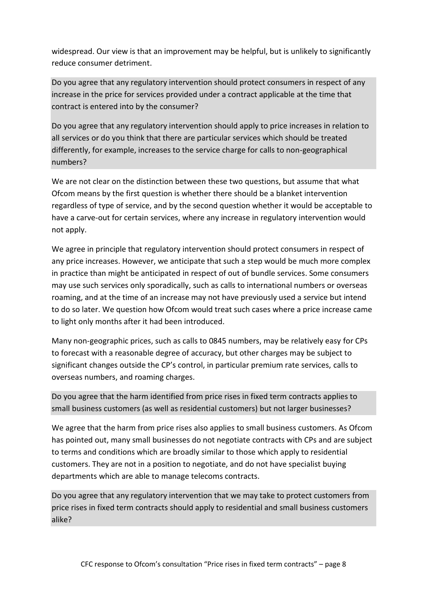widespread. Our view is that an improvement may be helpful, but is unlikely to significantly reduce consumer detriment.

Do you agree that any regulatory intervention should protect consumers in respect of any increase in the price for services provided under a contract applicable at the time that contract is entered into by the consumer?

Do you agree that any regulatory intervention should apply to price increases in relation to all services or do you think that there are particular services which should be treated differently, for example, increases to the service charge for calls to non-geographical numbers?

We are not clear on the distinction between these two questions, but assume that what Ofcom means by the first question is whether there should be a blanket intervention regardless of type of service, and by the second question whether it would be acceptable to have a carve-out for certain services, where any increase in regulatory intervention would not apply.

We agree in principle that regulatory intervention should protect consumers in respect of any price increases. However, we anticipate that such a step would be much more complex in practice than might be anticipated in respect of out of bundle services. Some consumers may use such services only sporadically, such as calls to international numbers or overseas roaming, and at the time of an increase may not have previously used a service but intend to do so later. We question how Ofcom would treat such cases where a price increase came to light only months after it had been introduced.

Many non-geographic prices, such as calls to 0845 numbers, may be relatively easy for CPs to forecast with a reasonable degree of accuracy, but other charges may be subject to significant changes outside the CP's control, in particular premium rate services, calls to overseas numbers, and roaming charges.

Do you agree that the harm identified from price rises in fixed term contracts applies to small business customers (as well as residential customers) but not larger businesses?

We agree that the harm from price rises also applies to small business customers. As Ofcom has pointed out, many small businesses do not negotiate contracts with CPs and are subject to terms and conditions which are broadly similar to those which apply to residential customers. They are not in a position to negotiate, and do not have specialist buying departments which are able to manage telecoms contracts.

Do you agree that any regulatory intervention that we may take to protect customers from price rises in fixed term contracts should apply to residential and small business customers alike?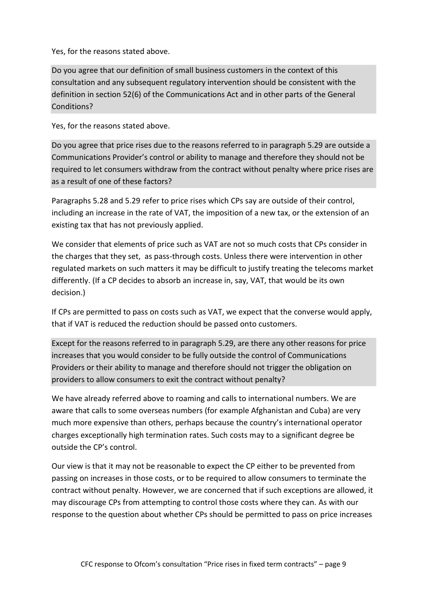Yes, for the reasons stated above.

Do you agree that our definition of small business customers in the context of this consultation and any subsequent regulatory intervention should be consistent with the definition in section 52(6) of the Communications Act and in other parts of the General Conditions?

Yes, for the reasons stated above.

Do you agree that price rises due to the reasons referred to in paragraph 5.29 are outside a Communications Provider's control or ability to manage and therefore they should not be required to let consumers withdraw from the contract without penalty where price rises are as a result of one of these factors?

Paragraphs 5.28 and 5.29 refer to price rises which CPs say are outside of their control, including an increase in the rate of VAT, the imposition of a new tax, or the extension of an existing tax that has not previously applied.

We consider that elements of price such as VAT are not so much costs that CPs consider in the charges that they set, as pass-through costs. Unless there were intervention in other regulated markets on such matters it may be difficult to justify treating the telecoms market differently. (If a CP decides to absorb an increase in, say, VAT, that would be its own decision.)

If CPs are permitted to pass on costs such as VAT, we expect that the converse would apply, that if VAT is reduced the reduction should be passed onto customers.

Except for the reasons referred to in paragraph 5.29, are there any other reasons for price increases that you would consider to be fully outside the control of Communications Providers or their ability to manage and therefore should not trigger the obligation on providers to allow consumers to exit the contract without penalty?

We have already referred above to roaming and calls to international numbers. We are aware that calls to some overseas numbers (for example Afghanistan and Cuba) are very much more expensive than others, perhaps because the country's international operator charges exceptionally high termination rates. Such costs may to a significant degree be outside the CP's control.

Our view is that it may not be reasonable to expect the CP either to be prevented from passing on increases in those costs, or to be required to allow consumers to terminate the contract without penalty. However, we are concerned that if such exceptions are allowed, it may discourage CPs from attempting to control those costs where they can. As with our response to the question about whether CPs should be permitted to pass on price increases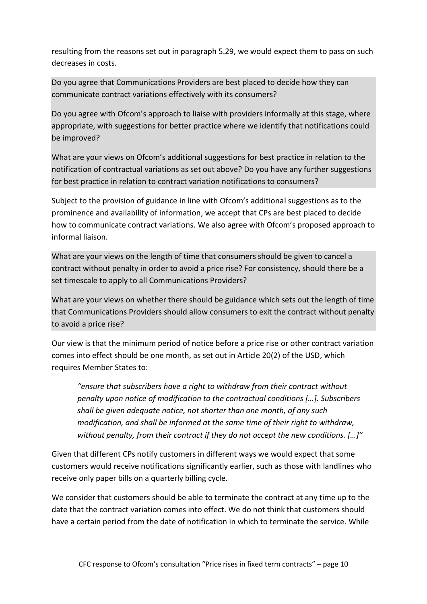resulting from the reasons set out in paragraph 5.29, we would expect them to pass on such decreases in costs.

Do you agree that Communications Providers are best placed to decide how they can communicate contract variations effectively with its consumers?

Do you agree with Ofcom's approach to liaise with providers informally at this stage, where appropriate, with suggestions for better practice where we identify that notifications could be improved?

What are your views on Ofcom's additional suggestions for best practice in relation to the notification of contractual variations as set out above? Do you have any further suggestions for best practice in relation to contract variation notifications to consumers?

Subject to the provision of guidance in line with Ofcom's additional suggestions as to the prominence and availability of information, we accept that CPs are best placed to decide how to communicate contract variations. We also agree with Ofcom's proposed approach to informal liaison.

What are your views on the length of time that consumers should be given to cancel a contract without penalty in order to avoid a price rise? For consistency, should there be a set timescale to apply to all Communications Providers?

What are your views on whether there should be guidance which sets out the length of time that Communications Providers should allow consumers to exit the contract without penalty to avoid a price rise?

Our view is that the minimum period of notice before a price rise or other contract variation comes into effect should be one month, as set out in Article 20(2) of the USD, which requires Member States to:

*"ensure that subscribers have a right to withdraw from their contract without penalty upon notice of modification to the contractual conditions […]. Subscribers shall be given adequate notice, not shorter than one month, of any such modification, and shall be informed at the same time of their right to withdraw, without penalty, from their contract if they do not accept the new conditions. […]"*

Given that different CPs notify customers in different ways we would expect that some customers would receive notifications significantly earlier, such as those with landlines who receive only paper bills on a quarterly billing cycle.

We consider that customers should be able to terminate the contract at any time up to the date that the contract variation comes into effect. We do not think that customers should have a certain period from the date of notification in which to terminate the service. While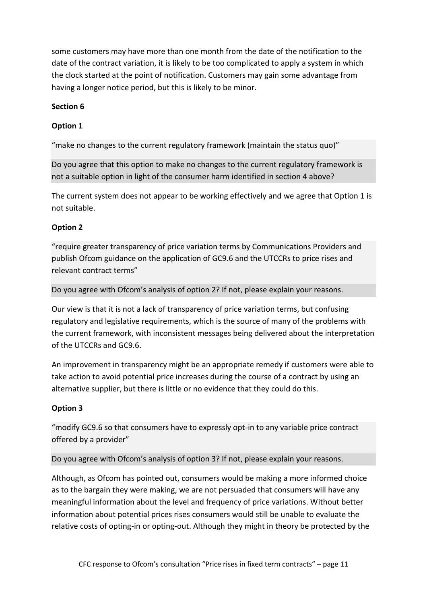some customers may have more than one month from the date of the notification to the date of the contract variation, it is likely to be too complicated to apply a system in which the clock started at the point of notification. Customers may gain some advantage from having a longer notice period, but this is likely to be minor.

#### **Section 6**

### **Option 1**

"make no changes to the current regulatory framework (maintain the status quo)"

Do you agree that this option to make no changes to the current regulatory framework is not a suitable option in light of the consumer harm identified in section 4 above?

The current system does not appear to be working effectively and we agree that Option 1 is not suitable.

#### **Option 2**

"require greater transparency of price variation terms by Communications Providers and publish Ofcom guidance on the application of GC9.6 and the UTCCRs to price rises and relevant contract terms"

#### Do you agree with Ofcom's analysis of option 2? If not, please explain your reasons.

Our view is that it is not a lack of transparency of price variation terms, but confusing regulatory and legislative requirements, which is the source of many of the problems with the current framework, with inconsistent messages being delivered about the interpretation of the UTCCRs and GC9.6.

An improvement in transparency might be an appropriate remedy if customers were able to take action to avoid potential price increases during the course of a contract by using an alternative supplier, but there is little or no evidence that they could do this.

### **Option 3**

"modify GC9.6 so that consumers have to expressly opt-in to any variable price contract offered by a provider"

#### Do you agree with Ofcom's analysis of option 3? If not, please explain your reasons.

Although, as Ofcom has pointed out, consumers would be making a more informed choice as to the bargain they were making, we are not persuaded that consumers will have any meaningful information about the level and frequency of price variations. Without better information about potential prices rises consumers would still be unable to evaluate the relative costs of opting-in or opting-out. Although they might in theory be protected by the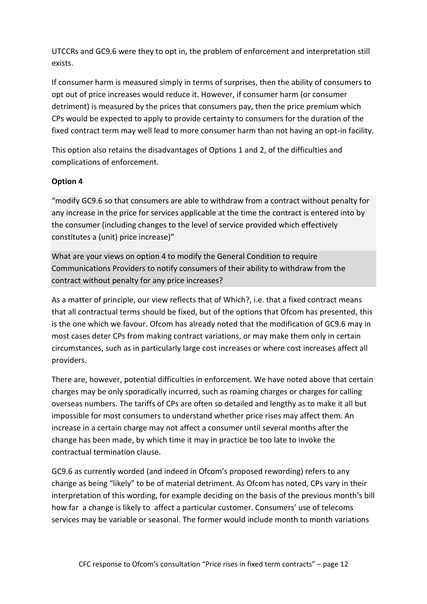UTCCRs and GC9.6 were they to opt in, the problem of enforcement and interpretation still exists.

If consumer harm is measured simply in terms of surprises, then the ability of consumers to opt out of price increases would reduce it. However, if consumer harm (or consumer detriment) is measured by the prices that consumers pay, then the price premium which CPs would be expected to apply to provide certainty to consumers for the duration of the fixed contract term may well lead to more consumer harm than not having an opt-in facility.

This option also retains the disadvantages of Options 1 and 2, of the difficulties and complications of enforcement.

#### **Option 4**

"modify GC9.6 so that consumers are able to withdraw from a contract without penalty for any increase in the price for services applicable at the time the contract is entered into by the consumer (including changes to the level of service provided which effectively constitutes a (unit) price increase)"

What are your views on option 4 to modify the General Condition to require Communications Providers to notify consumers of their ability to withdraw from the contract without penalty for any price increases?

As a matter of principle, our view reflects that of Which?, i.e. that a fixed contract means that all contractual terms should be fixed, but of the options that Ofcom has presented, this is the one which we favour. Ofcom has already noted that the modification of GC9.6 may in most cases deter CPs from making contract variations, or may make them only in certain circumstances, such as in particularly large cost increases or where cost increases affect all providers.

There are, however, potential difficulties in enforcement. We have noted above that certain charges may be only sporadically incurred, such as roaming charges or charges for calling overseas numbers. The tariffs of CPs are often so detailed and lengthy as to make it all but impossible for most consumers to understand whether price rises may affect them. An increase in a certain charge may not affect a consumer until several months after the change has been made, by which time it may in practice be too late to invoke the contractual termination clause.

GC9.6 as currently worded (and indeed in Ofcom's proposed rewording) refers to any change as being "likely" to be of material detriment. As Ofcom has noted, CPs vary in their interpretation of this wording, for example deciding on the basis of the previous month's bill how far a change is likely to affect a particular customer. Consumers' use of telecoms services may be variable or seasonal. The former would include month to month variations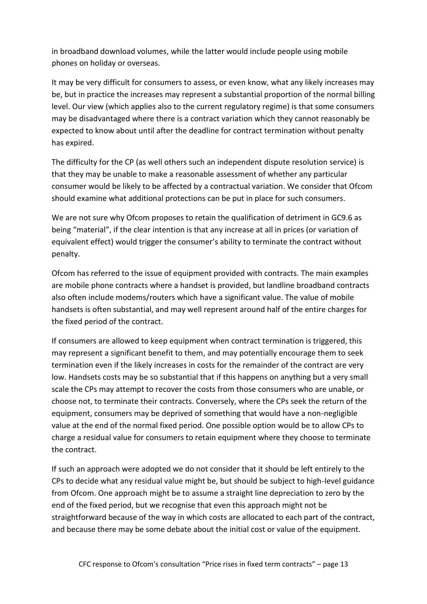in broadband download volumes, while the latter would include people using mobile phones on holiday or overseas.

It may be very difficult for consumers to assess, or even know, what any likely increases may be, but in practice the increases may represent a substantial proportion of the normal billing level. Our view (which applies also to the current regulatory regime) is that some consumers may be disadvantaged where there is a contract variation which they cannot reasonably be expected to know about until after the deadline for contract termination without penalty has expired.

The difficulty for the CP (as well others such an independent dispute resolution service) is that they may be unable to make a reasonable assessment of whether any particular consumer would be likely to be affected by a contractual variation. We consider that Ofcom should examine what additional protections can be put in place for such consumers.

We are not sure why Ofcom proposes to retain the qualification of detriment in GC9.6 as being "material", if the clear intention is that any increase at all in prices (or variation of equivalent effect) would trigger the consumer's ability to terminate the contract without penalty.

Ofcom has referred to the issue of equipment provided with contracts. The main examples are mobile phone contracts where a handset is provided, but landline broadband contracts also often include modems/routers which have a significant value. The value of mobile handsets is often substantial, and may well represent around half of the entire charges for the fixed period of the contract.

If consumers are allowed to keep equipment when contract termination is triggered, this may represent a significant benefit to them, and may potentially encourage them to seek termination even if the likely increases in costs for the remainder of the contract are very low. Handsets costs may be so substantial that if this happens on anything but a very small scale the CPs may attempt to recover the costs from those consumers who are unable, or choose not, to terminate their contracts. Conversely, where the CPs seek the return of the equipment, consumers may be deprived of something that would have a non-negligible value at the end of the normal fixed period. One possible option would be to allow CPs to charge a residual value for consumers to retain equipment where they choose to terminate the contract.

If such an approach were adopted we do not consider that it should be left entirely to the CPs to decide what any residual value might be, but should be subject to high-level guidance from Ofcom. One approach might be to assume a straight line depreciation to zero by the end of the fixed period, but we recognise that even this approach might not be straightforward because of the way in which costs are allocated to each part of the contract, and because there may be some debate about the initial cost or value of the equipment.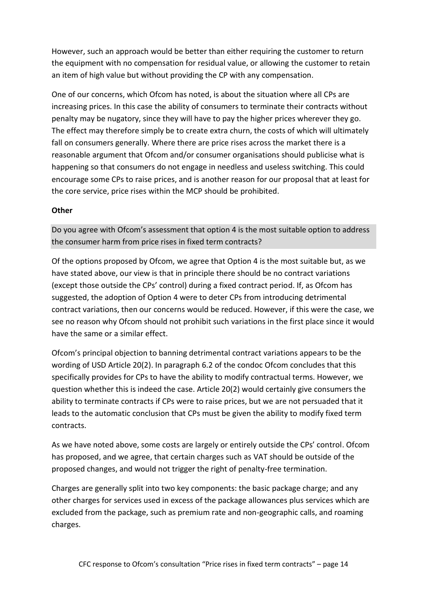However, such an approach would be better than either requiring the customer to return the equipment with no compensation for residual value, or allowing the customer to retain an item of high value but without providing the CP with any compensation.

One of our concerns, which Ofcom has noted, is about the situation where all CPs are increasing prices. In this case the ability of consumers to terminate their contracts without penalty may be nugatory, since they will have to pay the higher prices wherever they go. The effect may therefore simply be to create extra churn, the costs of which will ultimately fall on consumers generally. Where there are price rises across the market there is a reasonable argument that Ofcom and/or consumer organisations should publicise what is happening so that consumers do not engage in needless and useless switching. This could encourage some CPs to raise prices, and is another reason for our proposal that at least for the core service, price rises within the MCP should be prohibited.

#### **Other**

Do you agree with Ofcom's assessment that option 4 is the most suitable option to address the consumer harm from price rises in fixed term contracts?

Of the options proposed by Ofcom, we agree that Option 4 is the most suitable but, as we have stated above, our view is that in principle there should be no contract variations (except those outside the CPs' control) during a fixed contract period. If, as Ofcom has suggested, the adoption of Option 4 were to deter CPs from introducing detrimental contract variations, then our concerns would be reduced. However, if this were the case, we see no reason why Ofcom should not prohibit such variations in the first place since it would have the same or a similar effect.

Ofcom's principal objection to banning detrimental contract variations appears to be the wording of USD Article 20(2). In paragraph 6.2 of the condoc Ofcom concludes that this specifically provides for CPs to have the ability to modify contractual terms. However, we question whether this is indeed the case. Article 20(2) would certainly give consumers the ability to terminate contracts if CPs were to raise prices, but we are not persuaded that it leads to the automatic conclusion that CPs must be given the ability to modify fixed term contracts.

As we have noted above, some costs are largely or entirely outside the CPs' control. Ofcom has proposed, and we agree, that certain charges such as VAT should be outside of the proposed changes, and would not trigger the right of penalty-free termination.

Charges are generally split into two key components: the basic package charge; and any other charges for services used in excess of the package allowances plus services which are excluded from the package, such as premium rate and non-geographic calls, and roaming charges.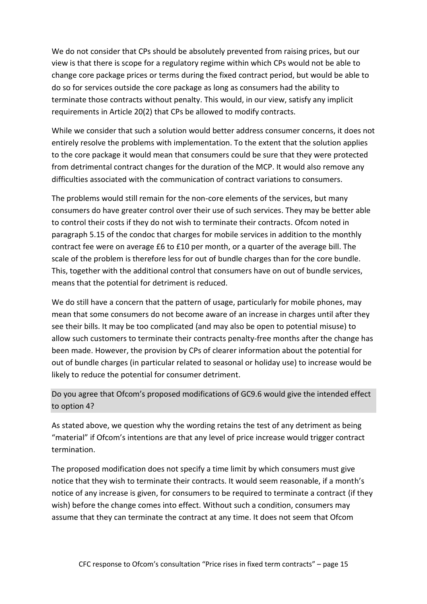We do not consider that CPs should be absolutely prevented from raising prices, but our view is that there is scope for a regulatory regime within which CPs would not be able to change core package prices or terms during the fixed contract period, but would be able to do so for services outside the core package as long as consumers had the ability to terminate those contracts without penalty. This would, in our view, satisfy any implicit requirements in Article 20(2) that CPs be allowed to modify contracts.

While we consider that such a solution would better address consumer concerns, it does not entirely resolve the problems with implementation. To the extent that the solution applies to the core package it would mean that consumers could be sure that they were protected from detrimental contract changes for the duration of the MCP. It would also remove any difficulties associated with the communication of contract variations to consumers.

The problems would still remain for the non-core elements of the services, but many consumers do have greater control over their use of such services. They may be better able to control their costs if they do not wish to terminate their contracts. Ofcom noted in paragraph 5.15 of the condoc that charges for mobile services in addition to the monthly contract fee were on average £6 to £10 per month, or a quarter of the average bill. The scale of the problem is therefore less for out of bundle charges than for the core bundle. This, together with the additional control that consumers have on out of bundle services, means that the potential for detriment is reduced.

We do still have a concern that the pattern of usage, particularly for mobile phones, may mean that some consumers do not become aware of an increase in charges until after they see their bills. It may be too complicated (and may also be open to potential misuse) to allow such customers to terminate their contracts penalty-free months after the change has been made. However, the provision by CPs of clearer information about the potential for out of bundle charges (in particular related to seasonal or holiday use) to increase would be likely to reduce the potential for consumer detriment.

### Do you agree that Ofcom's proposed modifications of GC9.6 would give the intended effect to option 4?

As stated above, we question why the wording retains the test of any detriment as being "material" if Ofcom's intentions are that any level of price increase would trigger contract termination.

The proposed modification does not specify a time limit by which consumers must give notice that they wish to terminate their contracts. It would seem reasonable, if a month's notice of any increase is given, for consumers to be required to terminate a contract (if they wish) before the change comes into effect. Without such a condition, consumers may assume that they can terminate the contract at any time. It does not seem that Ofcom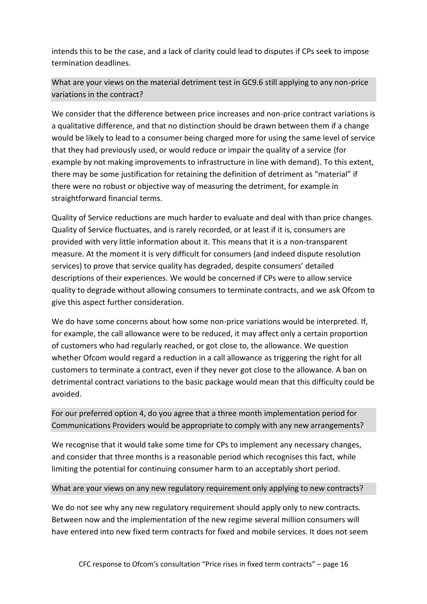intends this to be the case, and a lack of clarity could lead to disputes if CPs seek to impose termination deadlines.

What are your views on the material detriment test in GC9.6 still applying to any non-price variations in the contract?

We consider that the difference between price increases and non-price contract variations is a qualitative difference, and that no distinction should be drawn between them if a change would be likely to lead to a consumer being charged more for using the same level of service that they had previously used, or would reduce or impair the quality of a service (for example by not making improvements to infrastructure in line with demand). To this extent, there may be some justification for retaining the definition of detriment as "material" if there were no robust or objective way of measuring the detriment, for example in straightforward financial terms.

Quality of Service reductions are much harder to evaluate and deal with than price changes. Quality of Service fluctuates, and is rarely recorded, or at least if it is, consumers are provided with very little information about it. This means that it is a non-transparent measure. At the moment it is very difficult for consumers (and indeed dispute resolution services) to prove that service quality has degraded, despite consumers' detailed descriptions of their experiences. We would be concerned if CPs were to allow service quality to degrade without allowing consumers to terminate contracts, and we ask Ofcom to give this aspect further consideration.

We do have some concerns about how some non-price variations would be interpreted. If, for example, the call allowance were to be reduced, it may affect only a certain proportion of customers who had regularly reached, or got close to, the allowance. We question whether Ofcom would regard a reduction in a call allowance as triggering the right for all customers to terminate a contract, even if they never got close to the allowance. A ban on detrimental contract variations to the basic package would mean that this difficulty could be avoided.

For our preferred option 4, do you agree that a three month implementation period for Communications Providers would be appropriate to comply with any new arrangements?

We recognise that it would take some time for CPs to implement any necessary changes, and consider that three months is a reasonable period which recognises this fact, while limiting the potential for continuing consumer harm to an acceptably short period.

#### What are your views on any new regulatory requirement only applying to new contracts?

We do not see why any new regulatory requirement should apply only to new contracts. Between now and the implementation of the new regime several million consumers will have entered into new fixed term contracts for fixed and mobile services. It does not seem